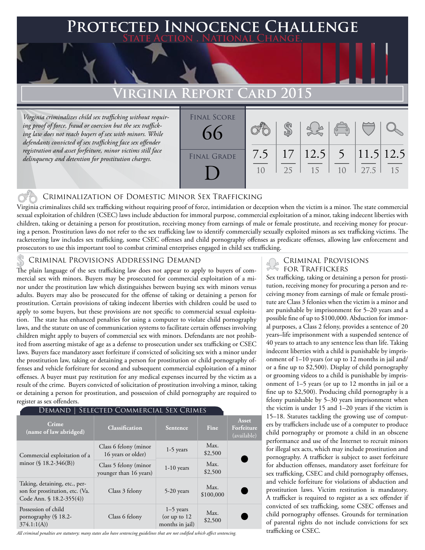## **FED INNOCENCE CHALLENGE State Action . National Change.**

# **Virginia Report Card 2015**

*Virginia criminalizes child sex trafficking without requiring proof of force, fraud or coercion but the sex trafficking law does not reach buyers of sex with minors. While defendants convicted of sex trafficking face sex offender registration and asset forfeiture, minor victims still face delinquency and detention for prostitution charges.* 

| <b>FINAL SCORE</b><br>66 |           |    |                                   | $\begin{pmatrix} 0 & 0 \\ 0 & 0 \end{pmatrix}$ |      |    |
|--------------------------|-----------|----|-----------------------------------|------------------------------------------------|------|----|
| <b>FINAL GRADE</b>       | 7.5<br>10 | 25 | 17   12.5   5   11.5   12.5<br>15 | 10                                             | 27.5 | 15 |

#### Criminalization of Domestic Minor Sex Trafficking

Virginia criminalizes child sex trafficking without requiring proof of force, intimidation or deception when the victim is a minor. The state commercial sexual exploitation of children (CSEC) laws include abduction for immoral purpose, commercial exploitation of a minor, taking indecent liberties with children, taking or detaining a person for prostitution, receiving money from earnings of male or female prostitute, and receiving money for procuring a person. Prostitution laws do not refer to the sex trafficking law to identify commercially sexually exploited minors as sex trafficking victims. The racketeering law includes sex trafficking, some CSEC offenses and child pornography offenses as predicate offenses, allowing law enforcement and prosecutors to use this important tool to combat criminal enterprises engaged in child sex trafficking.

CRIMINAL PROVISIONS ADDRESSING DEMAND<br>The plain language of the sex trafficking law does not appear to apply to buyers of com-<br>FOR TRAFFICKERS mercial sex with minors. Buyers may be prosecuted for commercial exploitation of a minor under the prostitution law which distinguishes between buying sex with minors versus adults. Buyers may also be prosecuted for the offense of taking or detaining a person for prostitution. Certain provisions of taking indecent liberties with children could be used to apply to some buyers, but these provisions are not specific to commercial sexual exploitation. The state has enhanced penalties for using a computer to violate child pornography laws, and the statute on use of communication systems to facilitate certain offenses involving children might apply to buyers of commercial sex with minors. Defendants are not prohibited from asserting mistake of age as a defense to prosecution under sex trafficking or CSEC laws. Buyers face mandatory asset forfeiture if convicted of soliciting sex with a minor under the prostitution law, taking or detaining a person for prostitution or child pornography offenses and vehicle forfeiture for second and subsequent commercial exploitation of a minor offenses. A buyer must pay restitution for any medical expenses incurred by the victim as a result of the crime. Buyers convicted of solicitation of prostitution involving a minor, taking or detaining a person for prostitution, and possession of child pornography are required to register as sex offenders.

#### Demand | Selected Commercial Sex Crimes

| Crime<br>(name of law abridged)                                                              | <b>Classification</b>                           | <b>Sentence</b>                                  | <b>Fine</b>       | Asset<br><b>Forfeiture</b><br>(available) |
|----------------------------------------------------------------------------------------------|-------------------------------------------------|--------------------------------------------------|-------------------|-------------------------------------------|
| Commercial exploitation of a                                                                 | Class 6 felony (minor<br>16 years or older)     | $1-5$ years                                      | Max.<br>\$2,500   |                                           |
| minor $(\S 18.2 - 346(B))$                                                                   | Class 5 felony (minor<br>younger than 16 years) | $1-10$ years                                     | Max.<br>\$2,500   |                                           |
| Taking, detaining, etc., per-<br>son for prostitution, etc. (Va.<br>Code Ann. § 18.2-355(4)) | Class 3 felony                                  | 5-20 years                                       | Max.<br>\$100,000 |                                           |
| Possession of child<br>pornography $(\S$ 18.2-<br>374.1:1(A)                                 | Class 6 felony                                  | $1-5$ years<br>(or up to $12$<br>months in jail) | Max.<br>\$2,500   |                                           |

*All criminal penalties are statutory; many states also have sentencing guidelines that are not codified which affect sentencing.* 

# **CRIMINAL PROVISIONS**

Sex trafficking, taking or detaining a person for prostitution, receiving money for procuring a person and receiving money from earnings of male or female prostitute are Class 3 felonies when the victim is a minor and are punishable by imprisonment for 5–20 years and a possible fine of up to \$100,000. Abduction for immoral purposes, a Class 2 felony, provides a sentence of 20 years–life imprisonment with a suspended sentence of 40 years to attach to any sentence less than life. Taking indecent liberties with a child is punishable by imprisonment of 1–10 years (or up to 12 months in jail and/ or a fine up to \$2,500). Display of child pornography or grooming videos to a child is punishable by imprisonment of 1–5 years (or up to 12 months in jail or a fine up to \$2,500). Producing child pornography is a felony punishable by 5–30 years imprisonment when the victim is under 15 and 1–20 years if the victim is 15–18. Statutes tackling the growing use of computers by traffickers include use of a computer to produce child pornography or promote a child in an obscene performance and use of the Internet to recruit minors for illegal sex acts, which may include prostitution and pornography. A trafficker is subject to asset forfeiture for abduction offenses, mandatory asset forfeiture for sex trafficking, CSEC and child pornography offenses, and vehicle forfeiture for violations of abduction and prostitution laws. Victim restitution is mandatory. A trafficker is required to register as a sex offender if convicted of sex trafficking, some CSEC offenses and child pornography offenses. Grounds for termination of parental rights do not include convictions for sex trafficking or CSEC.